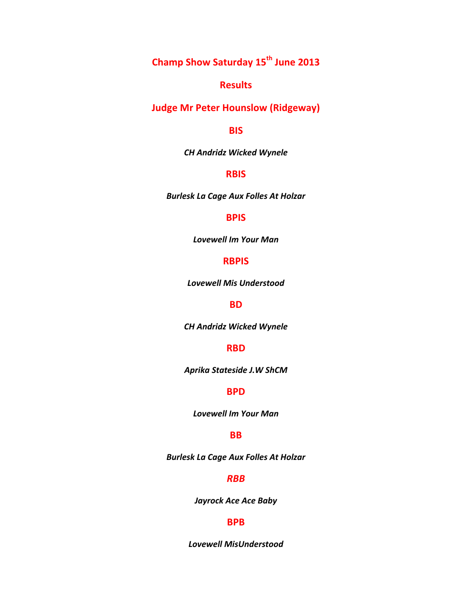**Champ&Show&Saturday&15th June&2013**

# **Results**

# **Judge Mr Peter Hounslow (Ridgeway)**

### **BIS**

**CH Andridz Wicked Wynele** 

# **RBIS**

**Burlesk La Cage Aux Folles At Holzar** 

# **BPIS**

**Lovewell Im Your Man** 

# **RBPIS**

Lovewell Mis Understood

# **BD**

**CH Andridz Wicked Wynele** 

#### **RBD**

*Aprika#Stateside#J.W#ShCM*

# **BPD**

**Lovewell Im Your Man** 

# **BB**

**Burlesk La Cage Aux Folles At Holzar** 

### *RBB*

Jayrock Ace Ace Baby

# **BPB**

*Lovewell#MisUnderstood*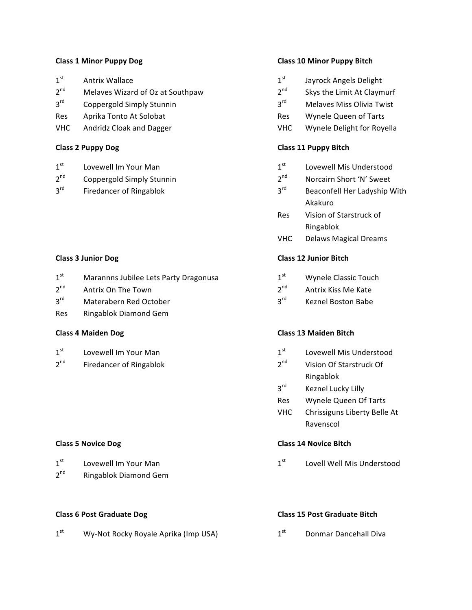#### **Class 1 Minor Puppy Dog**

| 1 <sup>st</sup> | <b>Antrix Wallace</b>            |
|-----------------|----------------------------------|
| 2 <sup>nd</sup> | Melaves Wizard of Oz at Southpaw |
| $3^{\text{rd}}$ | Coppergold Simply Stunnin        |
| Res             | Aprika Tonto At Solobat          |
|                 |                                  |

**VHC Andridz Cloak and Dagger** 

#### **Class 2 Puppy Dog**

- $2<sup>nd</sup>$ Coppergold Simply Stunnin
- $3^{\text{rd}}$ **Firedancer of Ringablok**

#### **Class 3 Junior Dog**

- $1<sup>st</sup>$ Marannns Jubilee Lets Party Dragonusa
- $2^{nd}$ Antrix On The Town
- $3<sup>rd</sup>$ Materabern Red October
- Res Ringablok Diamond Gem

#### **Class 4 Maiden Dog**

 $2<sup>nd</sup>$ **Firedancer of Ringablok** 

#### **Class 5 Novice Dog**

| 1 <sup>st</sup> | Lovewell Im Your Man  |
|-----------------|-----------------------|
| 2 <sup>nd</sup> | Ringablok Diamond Gem |

#### **Class 6 Post Graduate Dog**

 $1<sup>st</sup>$ Wy-Not Rocky Royale Aprika (Imp USA)

#### **Class 10 Minor Puppy Bitch**

- $1<sup>st</sup>$ Jayrock Angels Delight
- $2<sup>nd</sup>$ Skys the Limit At Claymurf
- $3<sup>rd</sup>$ Melayes Miss Olivia Twist
- Res Wynele Queen of Tarts
- **VHC** Wynele Delight for Royella

#### **Class 11 Puppy Bitch**

- $1<sup>st</sup>$ Lovewell Mis Understood
- $2<sup>nd</sup>$ Norcairn Short 'N' Sweet
- $3^{\text{rd}}$ Beaconfell Her Ladyship With Akakuro
- Res Vision of Starstruck of Ringablok
- **VHC Delaws Magical Dreams**

### **Class 12 Junior Bitch**

- $1^{\text{st}}$ Wynele Classic Touch
- $2^{nd}$ Antrix Kiss Me Kate
- $3^{\text{rd}}$ Keznel Boston Babe

# **Class 13 Maiden Bitch**

- $1<sup>st</sup>$ Lovewell Mis Understood
- $2<sup>nd</sup>$ Vision Of Starstruck Of Ringablok
- $3^{\text{rd}}$ Keznel Lucky Lilly
- Wynele Queen Of Tarts Res
- **VHC** Chrissiguns Liberty Belle At Ravenscol

#### **Class 14 Novice Bitch**

 $1<sup>st</sup>$ Lovell Well Mis Understood

#### **Class 15 Post Graduate Bitch**

 $1<sup>st</sup>$ **Donmar Dancehall Diva**